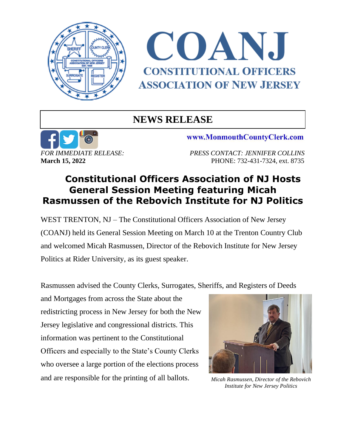



## **NEWS RELEASE**



www.MonmouthCountyClerk.com

*FOR IMMEDIATE RELEASE: PRESS CONTACT: JENNIFER COLLINS* **March 15. 2022 PHONE: 732-431-7324, ext. 8735** 

## **Constitutional Officers Association of NJ Hosts General Session Meeting featuring Micah Rasmussen of the Rebovich Institute for NJ Politics**

WEST TRENTON, NJ – The Constitutional Officers Association of New Jersey (COANJ) held its General Session Meeting on March 10 at the Trenton Country Club and welcomed Micah Rasmussen, Director of the Rebovich Institute for New Jersey Politics at Rider University, as its guest speaker.

Rasmussen advised the County Clerks, Surrogates, Sheriffs, and Registers of Deeds

and Mortgages from across the State about the redistricting process in New Jersey for both the New Jersey legislative and congressional districts. This information was pertinent to the Constitutional Officers and especially to the State's County Clerks who oversee a large portion of the elections process and are responsible for the printing of all ballots.



*Micah Rasmussen, Director of the Rebovich Institute for New Jersey Politics*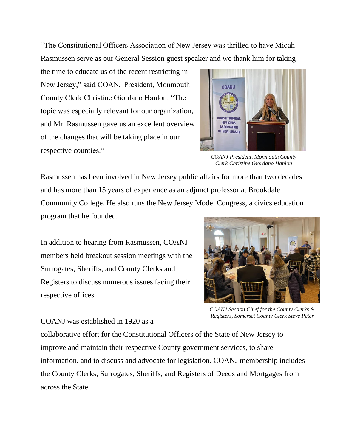"The Constitutional Officers Association of New Jersey was thrilled to have Micah Rasmussen serve as our General Session guest speaker and we thank him for taking

the time to educate us of the recent restricting in New Jersey," said COANJ President, Monmouth County Clerk Christine Giordano Hanlon. "The topic was especially relevant for our organization, and Mr. Rasmussen gave us an excellent overview of the changes that will be taking place in our respective counties."



*COANJ President, Monmouth County Clerk Christine Giordano Hanlon*

Rasmussen has been involved in New Jersey public affairs for more than two decades and has more than 15 years of experience as an adjunct professor at Brookdale Community College. He also runs the New Jersey Model Congress, a civics education program that he founded.

In addition to hearing from Rasmussen, COANJ members held breakout session meetings with the Surrogates, Sheriffs, and County Clerks and Registers to discuss numerous issues facing their respective offices.



*COANJ Section Chief for the County Clerks & Registers, Somerset County Clerk Steve Peter*

## COANJ was established in 1920 as a

collaborative effort for the Constitutional Officers of the State of New Jersey to improve and maintain their respective County government services, to share information, and to discuss and advocate for legislation. COANJ membership includes the County Clerks, Surrogates, Sheriffs, and Registers of Deeds and Mortgages from across the State.